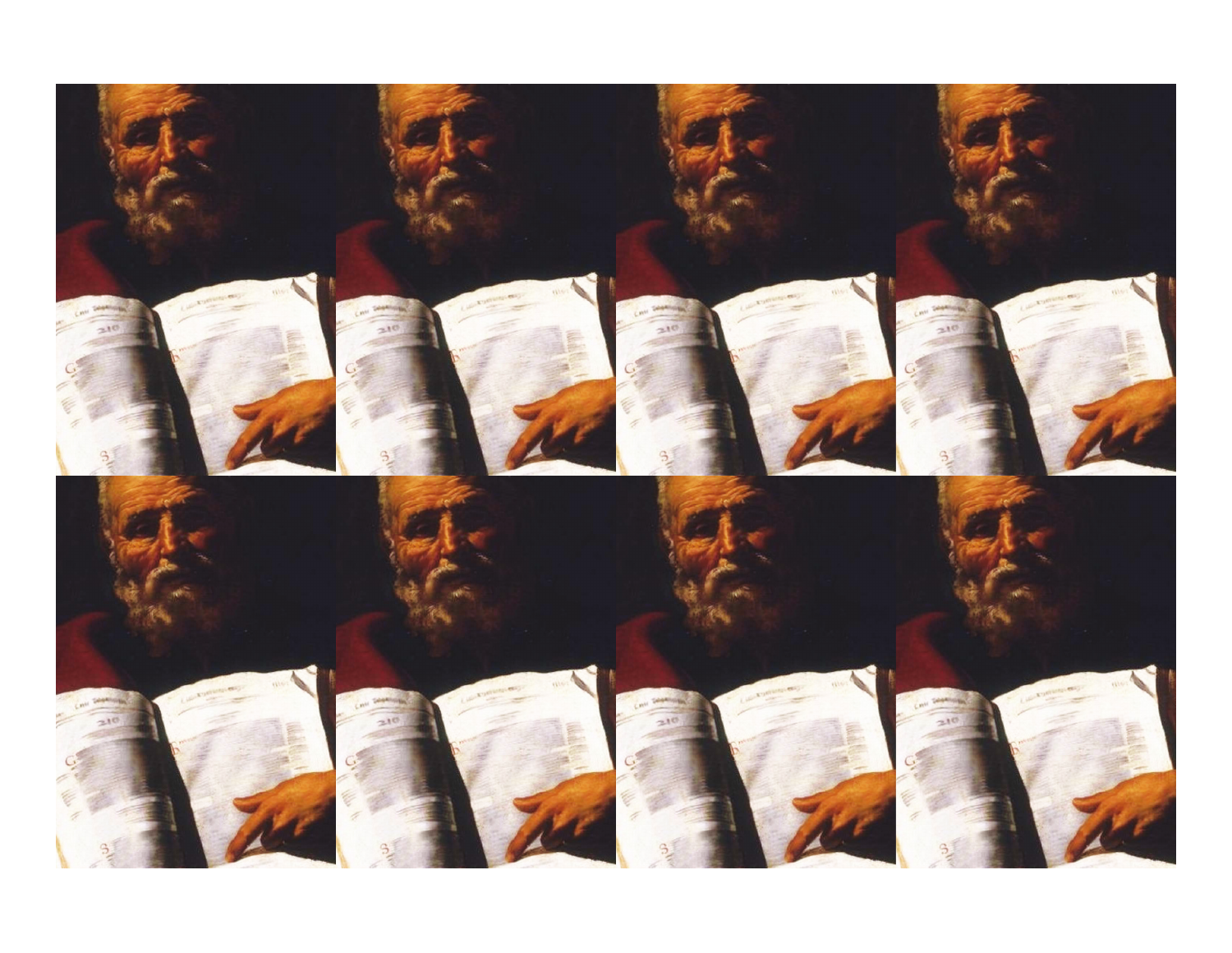